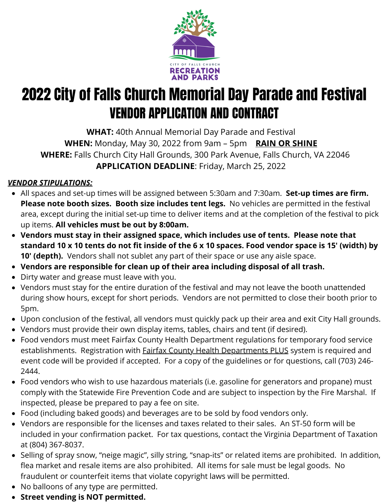

# 2022 City of Falls Church Memorial Day Parade and Festival VENDOR APPLICATION AND CONTRACT

**WHAT:** 40th Annual Memorial Day Parade and Festival **WHEN:** Monday, May 30, 2022 from 9am – 5pm **RAIN OR SHINE WHERE:** Falls Church City Hall Grounds, 300 Park Avenue, Falls Church, VA 22046 **APPLICATION DEADLINE**: Friday, March 25, 2022

### *VENDOR STIPULATIONS:*

- All spaces and set-up times will be assigned between 5:30am and 7:30am. **Set-up times are firm. Please note booth sizes. Booth size includes tent legs.** No vehicles are permitted in the festival area, except during the initial set-up time to deliver items and at the completion of the festival to pick up items. **All vehicles must be out by 8:00am.**
- **Vendors must stay in their assigned space, which includes use of tents. Please note that standard 10 x 10 tents do not fit inside of the 6 x 10 spaces. Food vendor space is 15' (width) by 10' (depth).** Vendors shall not sublet any part of their space or use any aisle space.
- **Vendors are responsible for clean up of their area including disposal of all trash.**
- Dirty water and grease must leave with you.
- Vendors must stay for the entire duration of the festival and may not leave the booth unattended during show hours, except for short periods. Vendors are not permitted to close their booth prior to 5pm.
- Upon conclusion of the festival, all vendors must quickly pack up their area and exit City Hall grounds.
- Vendors must provide their own display items, tables, chairs and tent (if desired).
- Food vendors must meet Fairfax County Health Department regulations for temporary food service establishments. Registration with **Fairfax County Health Departments PLUS** system is required and event code will be provided if accepted. For a copy of the guidelines or for questions, call (703) 246- 2444.
- Food vendors who wish to use hazardous materials (i.e. gasoline for generators and propane) must comply with the Statewide Fire Prevention Code and are subject to inspection by the Fire Marshal. If inspected, please be prepared to pay a fee on site.
- Food (including baked goods) and beverages are to be sold by food vendors only.
- Vendors are responsible for the licenses and taxes related to their sales. An ST-50 form will be included in your confirmation packet. For tax questions, contact the Virginia Department of Taxation at (804) 367-8037.
- Selling of spray snow, "neige magic", silly string, "snap-its" or related items are prohibited. In addition, flea market and resale items are also prohibited. All items for sale must be legal goods. No fraudulent or counterfeit items that violate copyright laws will be permitted.
- No balloons of any type are permitted.
- **Street vending is NOT permitted.**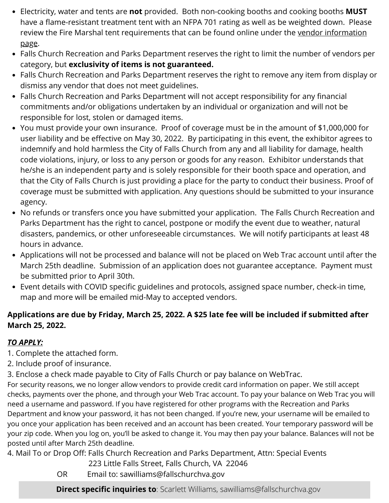- Electricity, water and tents are **not** provided. Both non-cooking booths and cooking booths **MUST** have a flame-resistant treatment tent with an NFPA 701 rating as well as be weighted down. Please review the Fire Marshal tent [requirements](https://www.fallschurchva.gov/1321/Vendor-Information) that can be found online under the vendor information page.
- Falls Church Recreation and Parks Department reserves the right to limit the number of vendors per category, but **exclusivity of items is not guaranteed.**
- Falls Church Recreation and Parks Department reserves the right to remove any item from display or dismiss any vendor that does not meet guidelines.
- Falls Church Recreation and Parks Department will not accept responsibility for any financial commitments and/or obligations undertaken by an individual or organization and will not be responsible for lost, stolen or damaged items.
- You must provide your own insurance. Proof of coverage must be in the amount of \$1,000,000 for user liability and be effective on May 30, 2022. By participating in this event, the exhibitor agrees to indemnify and hold harmless the City of Falls Church from any and all liability for damage, health code violations, injury, or loss to any person or goods for any reason. Exhibitor understands that he/she is an independent party and is solely responsible for their booth space and operation, and that the City of Falls Church is just providing a place for the party to conduct their business. Proof of coverage must be submitted with application. Any questions should be submitted to your insurance agency.
- No refunds or transfers once you have submitted your application. The Falls Church Recreation and Parks Department has the right to cancel, postpone or modify the event due to weather, natural disasters, pandemics, or other unforeseeable circumstances. We will notify participants at least 48 hours in advance.
- Applications will not be processed and balance will not be placed on Web Trac account until after the March 25th deadline. Submission of an application does not guarantee acceptance. Payment must be submitted prior to April 30th.
- Event details with COVID specific guidelines and protocols, assigned space number, check-in time, map and more will be emailed mid-May to accepted vendors.

#### **Applications are due by Friday, March 25, 2022. A \$25 late fee will be included if submitted after March 25, 2022.**

#### *TO APPLY:*

- 1. Complete the attached form.
- 2. Include proof of insurance.
- 3. Enclose a check made payable to City of Falls Church or pay balance on WebTrac.

For security reasons, we no longer allow vendors to provide credit card information on paper. We still accept checks, payments over the phone, and through your Web Trac account. To pay your balance on Web Trac you will need a username and password. If you have registered for other programs with the Recreation and Parks Department and know your password, it has not been changed. If you're new, your username will be emailed to you once your application has been received and an account has been created. Your temporary password will be your zip code. When you log on, you'll be asked to change it. You may then pay your balance. Balances will not be posted until after March 25th deadline.

4. Mail To or Drop Off: Falls Church Recreation and Parks Department, Attn: Special Events

- 223 Little Falls Street, Falls Church, VA 22046
- OR Email to: sawilliams@fallschurchva.gov

**Direct specific inquiries to**: Scarlett Williams, sawilliams@fallschurchva.gov